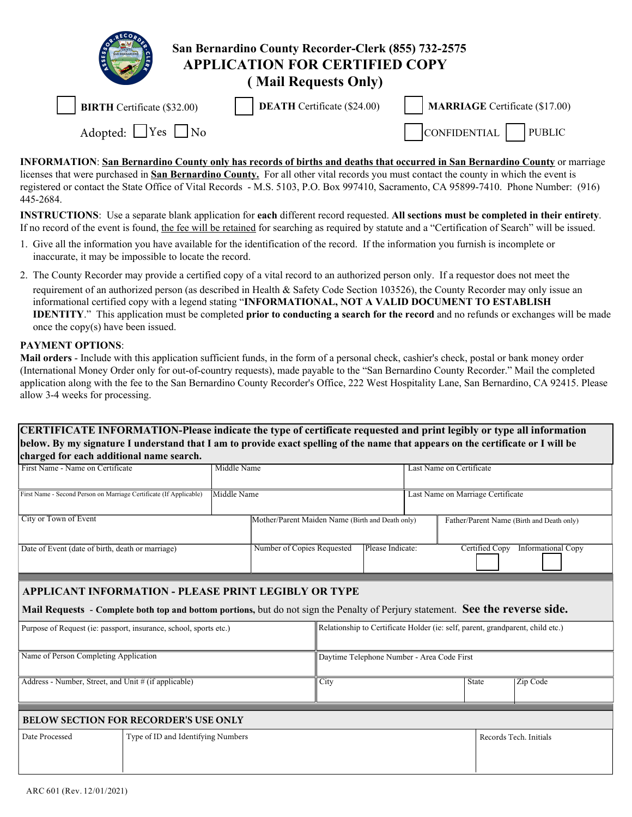| San Bernardino County Recorder-Clerk (855) 732-2575<br><b>APPLICATION FOR CERTIFIED COPY</b><br>(Mail Requests Only) |                                    |                                       |  |  |  |  |
|----------------------------------------------------------------------------------------------------------------------|------------------------------------|---------------------------------------|--|--|--|--|
| <b>BIRTH</b> Certificate (\$32.00)                                                                                   | <b>DEATH</b> Certificate (\$24.00) | <b>MARRIAGE</b> Certificate (\$17.00) |  |  |  |  |
| Adopted: $\Box$ Yes $\Box$ No                                                                                        |                                    | CONFIDENTIAL<br><b>PUBLIC</b>         |  |  |  |  |

**INFORMATION**: **San Bernardino County only has records of births and deaths that occurred in San Bernardino County** or marriage licenses that were purchased in **San Bernardino County.** For all other vital records you must contact the county in which the event is registered or contact the State Office of Vital Records - M.S. 5103, P.O. Box 997410, Sacramento, CA 95899-7410. Phone Number: (916) 445-2684.

**INSTRUCTIONS**: Use a separate blank application for **each** different record requested. **All sections must be completed in their entirety**. If no record of the event is found, the fee will be retained for searching as required by statute and a "Certification of Search" will be issued.

- 1. Give all the information you have available for the identification of the record. If the information you furnish is incomplete or inaccurate, it may be impossible to locate the record.
- 2. The County Recorder may provide a certified copy of a vital record to an authorized person only. If a requestor does not meet the requirement of an authorized person (as described in Health & Safety Code Section 103526), the County Recorder may only issue an informational certified copy with a legend stating "**INFORMATIONAL, NOT A VALID DOCUMENT TO ESTABLISH IDENTITY**." This application must be completed **prior to conducting a search for the record** and no refunds or exchanges will be made once the copy(s) have been issued.

## **PAYMENT OPTIONS**:

**Mail orders** - Include with this application sufficient funds, in the form of a personal check, cashier's check, postal or bank money order (International Money Order only for out-of-country requests), made payable to the "San Bernardino County Recorder." Mail the completed application along with the fee to the San Bernardino County Recorder's Office, 222 West Hospitality Lane, San Bernardino, CA 92415. Please allow 3-4 weeks for processing.

## **CERTIFICATE INFORMATION-Please indicate the type of certificate requested and print legibly or type all information below. By my signature I understand that I am to provide exact spelling of the name that appears on the certificate or I will be charged for each additional name search.**

| First Name - Name on Certificate                                                                                                                                                       | Middle Name                        |                                                                                |                                            | Last Name on Certificate          |                                             |  |                                           |  |
|----------------------------------------------------------------------------------------------------------------------------------------------------------------------------------------|------------------------------------|--------------------------------------------------------------------------------|--------------------------------------------|-----------------------------------|---------------------------------------------|--|-------------------------------------------|--|
| First Name - Second Person on Marriage Certificate (If Applicable)                                                                                                                     | Middle Name                        |                                                                                |                                            | Last Name on Marriage Certificate |                                             |  |                                           |  |
| City or Town of Event                                                                                                                                                                  |                                    | Mother/Parent Maiden Name (Birth and Death only)                               |                                            |                                   |                                             |  | Father/Parent Name (Birth and Death only) |  |
| Date of Event (date of birth, death or marriage)                                                                                                                                       |                                    | Number of Copies Requested                                                     | Please Indicate:                           |                                   | Certified Copy<br><b>Informational Copy</b> |  |                                           |  |
| APPLICANT INFORMATION - PLEASE PRINT LEGIBLY OR TYPE<br>Mail Requests - Complete both top and bottom portions, but do not sign the Penalty of Perjury statement. See the reverse side. |                                    |                                                                                |                                            |                                   |                                             |  |                                           |  |
| Purpose of Request (ie: passport, insurance, school, sports etc.)                                                                                                                      |                                    | Relationship to Certificate Holder (ie: self, parent, grandparent, child etc.) |                                            |                                   |                                             |  |                                           |  |
| Name of Person Completing Application                                                                                                                                                  |                                    |                                                                                | Daytime Telephone Number - Area Code First |                                   |                                             |  |                                           |  |
| Address - Number, Street, and Unit # (if applicable)                                                                                                                                   |                                    | City                                                                           |                                            | State                             | Zip Code                                    |  |                                           |  |
| <b>BELOW SECTION FOR RECORDER'S USE ONLY</b>                                                                                                                                           |                                    |                                                                                |                                            |                                   |                                             |  |                                           |  |
| Date Processed                                                                                                                                                                         | Type of ID and Identifying Numbers |                                                                                |                                            |                                   |                                             |  | Records Tech. Initials                    |  |